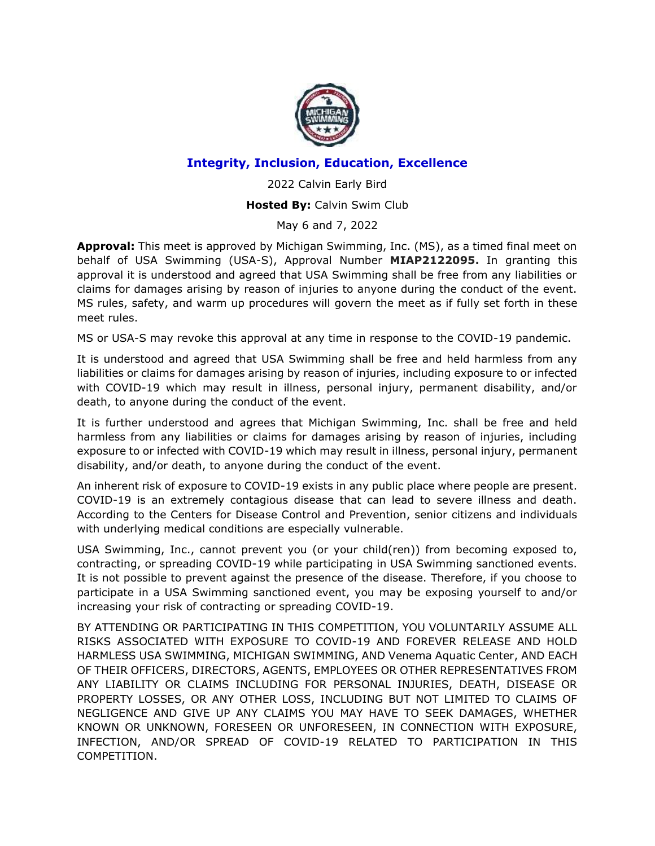

# **Integrity, Inclusion, Education, Excellence**

2022 Calvin Early Bird

# **Hosted By:** Calvin Swim Club

May 6 and 7, 2022

**Approval:** This meet is approved by Michigan Swimming, Inc. (MS), as a timed final meet on behalf of USA Swimming (USA-S), Approval Number **MIAP2122095.** In granting this approval it is understood and agreed that USA Swimming shall be free from any liabilities or claims for damages arising by reason of injuries to anyone during the conduct of the event. MS rules, safety, and warm up procedures will govern the meet as if fully set forth in these meet rules.

MS or USA-S may revoke this approval at any time in response to the COVID-19 pandemic.

It is understood and agreed that USA Swimming shall be free and held harmless from any liabilities or claims for damages arising by reason of injuries, including exposure to or infected with COVID-19 which may result in illness, personal injury, permanent disability, and/or death, to anyone during the conduct of the event.

It is further understood and agrees that Michigan Swimming, Inc. shall be free and held harmless from any liabilities or claims for damages arising by reason of injuries, including exposure to or infected with COVID-19 which may result in illness, personal injury, permanent disability, and/or death, to anyone during the conduct of the event.

An inherent risk of exposure to COVID-19 exists in any public place where people are present. COVID-19 is an extremely contagious disease that can lead to severe illness and death. According to the Centers for Disease Control and Prevention, senior citizens and individuals with underlying medical conditions are especially vulnerable.

USA Swimming, Inc., cannot prevent you (or your child(ren)) from becoming exposed to, contracting, or spreading COVID-19 while participating in USA Swimming sanctioned events. It is not possible to prevent against the presence of the disease. Therefore, if you choose to participate in a USA Swimming sanctioned event, you may be exposing yourself to and/or increasing your risk of contracting or spreading COVID-19.

BY ATTENDING OR PARTICIPATING IN THIS COMPETITION, YOU VOLUNTARILY ASSUME ALL RISKS ASSOCIATED WITH EXPOSURE TO COVID-19 AND FOREVER RELEASE AND HOLD HARMLESS USA SWIMMING, MICHIGAN SWIMMING, AND Venema Aquatic Center, AND EACH OF THEIR OFFICERS, DIRECTORS, AGENTS, EMPLOYEES OR OTHER REPRESENTATIVES FROM ANY LIABILITY OR CLAIMS INCLUDING FOR PERSONAL INJURIES, DEATH, DISEASE OR PROPERTY LOSSES, OR ANY OTHER LOSS, INCLUDING BUT NOT LIMITED TO CLAIMS OF NEGLIGENCE AND GIVE UP ANY CLAIMS YOU MAY HAVE TO SEEK DAMAGES, WHETHER KNOWN OR UNKNOWN, FORESEEN OR UNFORESEEN, IN CONNECTION WITH EXPOSURE, INFECTION, AND/OR SPREAD OF COVID-19 RELATED TO PARTICIPATION IN THIS COMPETITION.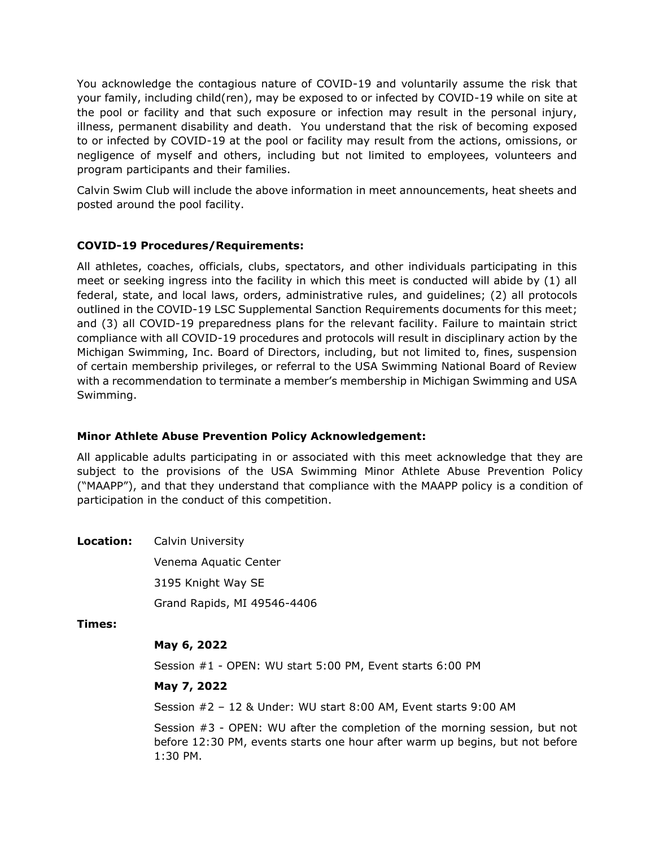You acknowledge the contagious nature of COVID-19 and voluntarily assume the risk that your family, including child(ren), may be exposed to or infected by COVID-19 while on site at the pool or facility and that such exposure or infection may result in the personal injury, illness, permanent disability and death. You understand that the risk of becoming exposed to or infected by COVID-19 at the pool or facility may result from the actions, omissions, or negligence of myself and others, including but not limited to employees, volunteers and program participants and their families.

Calvin Swim Club will include the above information in meet announcements, heat sheets and posted around the pool facility.

## **COVID-19 Procedures/Requirements:**

All athletes, coaches, officials, clubs, spectators, and other individuals participating in this meet or seeking ingress into the facility in which this meet is conducted will abide by (1) all federal, state, and local laws, orders, administrative rules, and guidelines; (2) all protocols outlined in the COVID-19 LSC Supplemental Sanction Requirements documents for this meet; and (3) all COVID-19 preparedness plans for the relevant facility. Failure to maintain strict compliance with all COVID-19 procedures and protocols will result in disciplinary action by the Michigan Swimming, Inc. Board of Directors, including, but not limited to, fines, suspension of certain membership privileges, or referral to the USA Swimming National Board of Review with a recommendation to terminate a member's membership in Michigan Swimming and USA Swimming.

## **Minor Athlete Abuse Prevention Policy Acknowledgement:**

All applicable adults participating in or associated with this meet acknowledge that they are subject to the provisions of the USA Swimming Minor Athlete Abuse Prevention Policy ("MAAPP"), and that they understand that compliance with the MAAPP policy is a condition of participation in the conduct of this competition.

**Location:** Calvin University

Venema Aquatic Center 3195 Knight Way SE Grand Rapids, MI 49546-4406

**Times:**

# **May 6, 2022**

Session #1 - OPEN: WU start 5:00 PM, Event starts 6:00 PM

## **May 7, 2022**

Session #2 – 12 & Under: WU start 8:00 AM, Event starts 9:00 AM

Session #3 - OPEN: WU after the completion of the morning session, but not before 12:30 PM, events starts one hour after warm up begins, but not before 1:30 PM.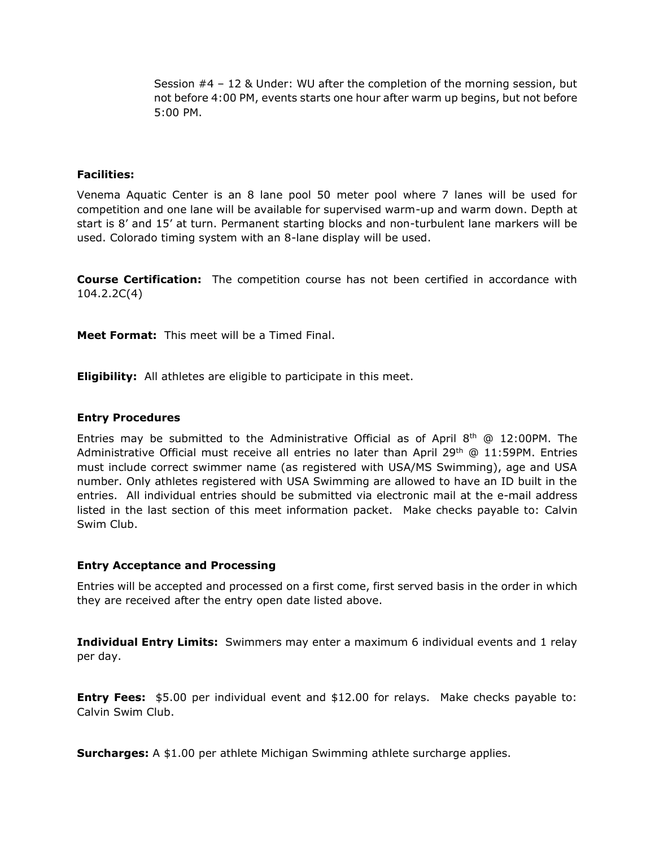Session #4 – 12 & Under: WU after the completion of the morning session, but not before 4:00 PM, events starts one hour after warm up begins, but not before 5:00 PM.

#### **Facilities:**

Venema Aquatic Center is an 8 lane pool 50 meter pool where 7 lanes will be used for competition and one lane will be available for supervised warm-up and warm down. Depth at start is 8' and 15' at turn. Permanent starting blocks and non-turbulent lane markers will be used. Colorado timing system with an 8-lane display will be used.

**Course Certification:** The competition course has not been certified in accordance with 104.2.2C(4)

**Meet Format:** This meet will be a Timed Final.

**Eligibility:** All athletes are eligible to participate in this meet.

#### **Entry Procedures**

Entries may be submitted to the Administrative Official as of April  $8<sup>th</sup>$  @ 12:00PM. The Administrative Official must receive all entries no later than April 29<sup>th</sup>  $@11:59PM.$  Entries must include correct swimmer name (as registered with USA/MS Swimming), age and USA number. Only athletes registered with USA Swimming are allowed to have an ID built in the entries. All individual entries should be submitted via electronic mail at the e-mail address listed in the last section of this meet information packet. Make checks payable to: Calvin Swim Club.

#### **Entry Acceptance and Processing**

Entries will be accepted and processed on a first come, first served basis in the order in which they are received after the entry open date listed above.

**Individual Entry Limits:** Swimmers may enter a maximum 6 individual events and 1 relay per day.

**Entry Fees:** \$5.00 per individual event and \$12.00 for relays. Make checks payable to: Calvin Swim Club.

**Surcharges:** A \$1.00 per athlete Michigan Swimming athlete surcharge applies.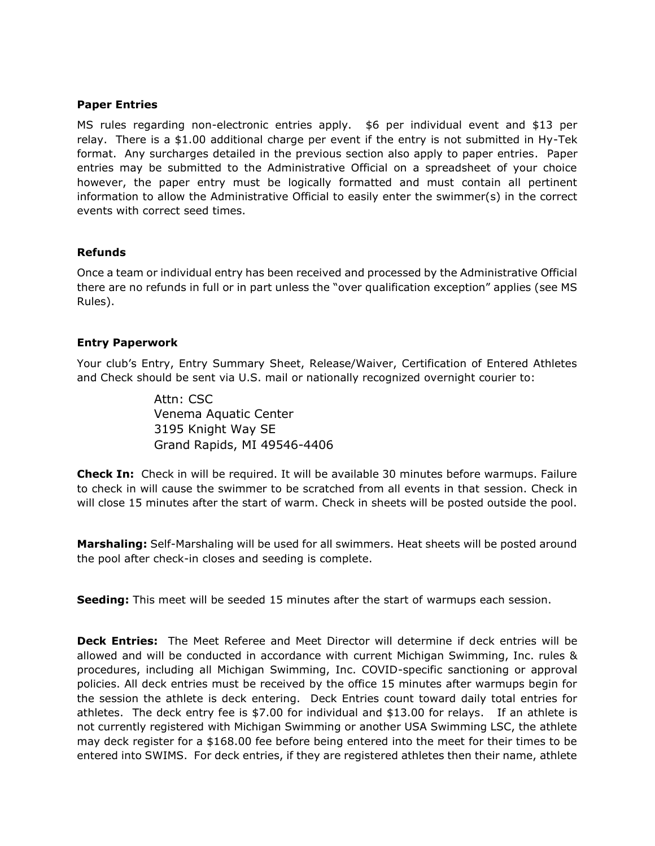#### **Paper Entries**

MS rules regarding non-electronic entries apply. \$6 per individual event and \$13 per relay. There is a \$1.00 additional charge per event if the entry is not submitted in Hy-Tek format. Any surcharges detailed in the previous section also apply to paper entries. Paper entries may be submitted to the Administrative Official on a spreadsheet of your choice however, the paper entry must be logically formatted and must contain all pertinent information to allow the Administrative Official to easily enter the swimmer(s) in the correct events with correct seed times.

### **Refunds**

Once a team or individual entry has been received and processed by the Administrative Official there are no refunds in full or in part unless the "over qualification exception" applies (see MS Rules).

### **Entry Paperwork**

Your club's Entry, Entry Summary Sheet, Release/Waiver, Certification of Entered Athletes and Check should be sent via U.S. mail or nationally recognized overnight courier to:

> Attn: CSC Venema Aquatic Center 3195 Knight Way SE Grand Rapids, MI 49546-4406

**Check In:** Check in will be required. It will be available 30 minutes before warmups. Failure to check in will cause the swimmer to be scratched from all events in that session. Check in will close 15 minutes after the start of warm. Check in sheets will be posted outside the pool.

**Marshaling:** Self-Marshaling will be used for all swimmers. Heat sheets will be posted around the pool after check-in closes and seeding is complete.

**Seeding:** This meet will be seeded 15 minutes after the start of warmups each session.

**Deck Entries:** The Meet Referee and Meet Director will determine if deck entries will be allowed and will be conducted in accordance with current Michigan Swimming, Inc. rules & procedures, including all Michigan Swimming, Inc. COVID-specific sanctioning or approval policies. All deck entries must be received by the office 15 minutes after warmups begin for the session the athlete is deck entering. Deck Entries count toward daily total entries for athletes. The deck entry fee is \$7.00 for individual and \$13.00 for relays. If an athlete is not currently registered with Michigan Swimming or another USA Swimming LSC, the athlete may deck register for a \$168.00 fee before being entered into the meet for their times to be entered into SWIMS. For deck entries, if they are registered athletes then their name, athlete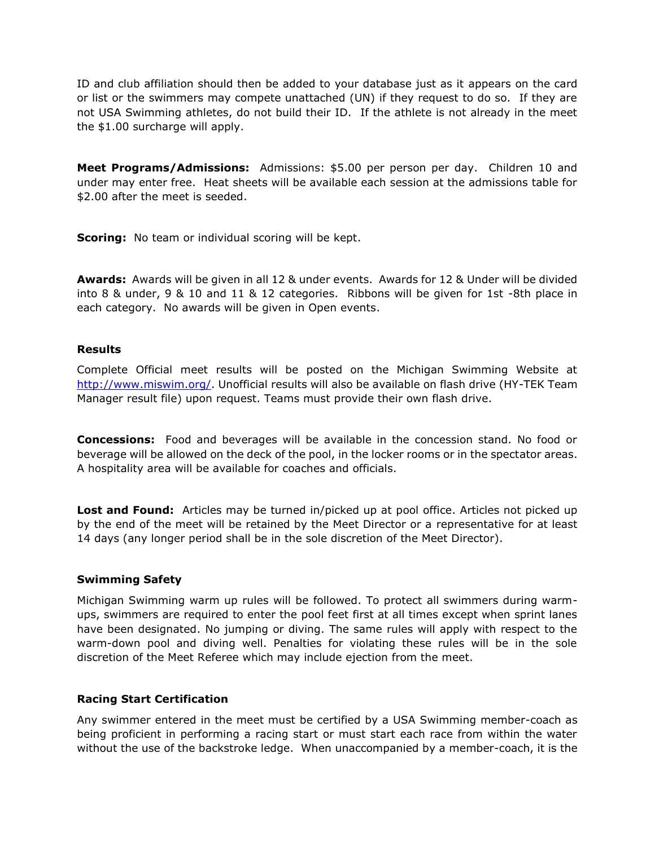ID and club affiliation should then be added to your database just as it appears on the card or list or the swimmers may compete unattached (UN) if they request to do so. If they are not USA Swimming athletes, do not build their ID. If the athlete is not already in the meet the \$1.00 surcharge will apply.

**Meet Programs/Admissions:** Admissions: \$5.00 per person per day. Children 10 and under may enter free. Heat sheets will be available each session at the admissions table for \$2.00 after the meet is seeded.

**Scoring:** No team or individual scoring will be kept.

**Awards:** Awards will be given in all 12 & under events. Awards for 12 & Under will be divided into 8 & under, 9 & 10 and 11 & 12 categories. Ribbons will be given for 1st -8th place in each category. No awards will be given in Open events.

### **Results**

Complete Official meet results will be posted on the Michigan Swimming Website at [http://www.miswim.org/.](http://www.miswim.org/) Unofficial results will also be available on flash drive (HY-TEK Team Manager result file) upon request. Teams must provide their own flash drive.

**Concessions:** Food and beverages will be available in the concession stand. No food or beverage will be allowed on the deck of the pool, in the locker rooms or in the spectator areas. A hospitality area will be available for coaches and officials.

**Lost and Found:** Articles may be turned in/picked up at pool office. Articles not picked up by the end of the meet will be retained by the Meet Director or a representative for at least 14 days (any longer period shall be in the sole discretion of the Meet Director).

### **Swimming Safety**

Michigan Swimming warm up rules will be followed. To protect all swimmers during warmups, swimmers are required to enter the pool feet first at all times except when sprint lanes have been designated. No jumping or diving. The same rules will apply with respect to the warm-down pool and diving well. Penalties for violating these rules will be in the sole discretion of the Meet Referee which may include ejection from the meet.

### **Racing Start Certification**

Any swimmer entered in the meet must be certified by a USA Swimming member-coach as being proficient in performing a racing start or must start each race from within the water without the use of the backstroke ledge. When unaccompanied by a member-coach, it is the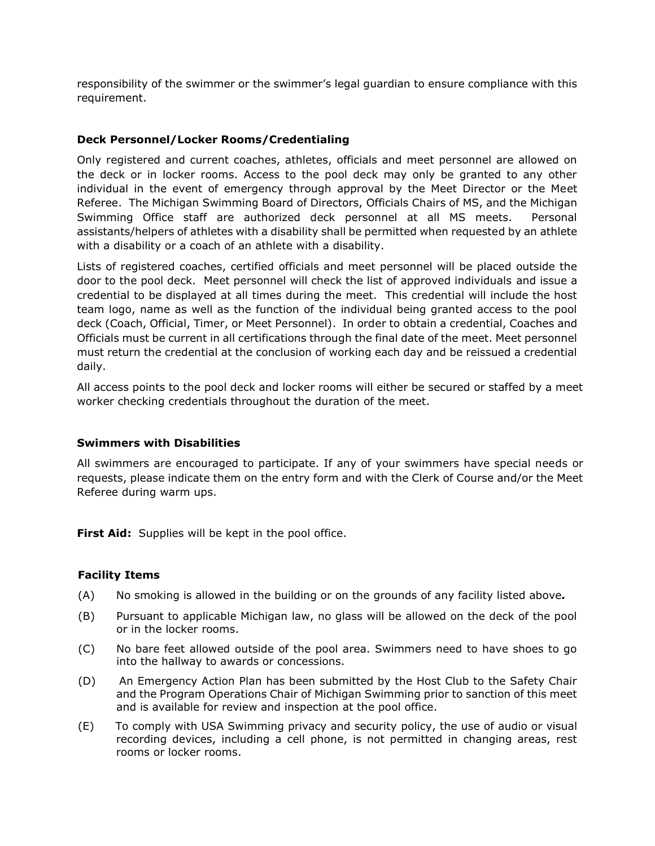responsibility of the swimmer or the swimmer's legal guardian to ensure compliance with this requirement.

### **Deck Personnel/Locker Rooms/Credentialing**

Only registered and current coaches, athletes, officials and meet personnel are allowed on the deck or in locker rooms. Access to the pool deck may only be granted to any other individual in the event of emergency through approval by the Meet Director or the Meet Referee. The Michigan Swimming Board of Directors, Officials Chairs of MS, and the Michigan Swimming Office staff are authorized deck personnel at all MS meets. Personal assistants/helpers of athletes with a disability shall be permitted when requested by an athlete with a disability or a coach of an athlete with a disability.

Lists of registered coaches, certified officials and meet personnel will be placed outside the door to the pool deck. Meet personnel will check the list of approved individuals and issue a credential to be displayed at all times during the meet. This credential will include the host team logo, name as well as the function of the individual being granted access to the pool deck (Coach, Official, Timer, or Meet Personnel). In order to obtain a credential, Coaches and Officials must be current in all certifications through the final date of the meet. Meet personnel must return the credential at the conclusion of working each day and be reissued a credential daily.

All access points to the pool deck and locker rooms will either be secured or staffed by a meet worker checking credentials throughout the duration of the meet.

### **Swimmers with Disabilities**

All swimmers are encouraged to participate. If any of your swimmers have special needs or requests, please indicate them on the entry form and with the Clerk of Course and/or the Meet Referee during warm ups.

First Aid: Supplies will be kept in the pool office.

### **Facility Items**

- (A) No smoking is allowed in the building or on the grounds of any facility listed above*.*
- (B) Pursuant to applicable Michigan law, no glass will be allowed on the deck of the pool or in the locker rooms.
- (C) No bare feet allowed outside of the pool area. Swimmers need to have shoes to go into the hallway to awards or concessions.
- (D) An Emergency Action Plan has been submitted by the Host Club to the Safety Chair and the Program Operations Chair of Michigan Swimming prior to sanction of this meet and is available for review and inspection at the pool office.
- (E) To comply with USA Swimming privacy and security policy, the use of audio or visual recording devices, including a cell phone, is not permitted in changing areas, rest rooms or locker rooms.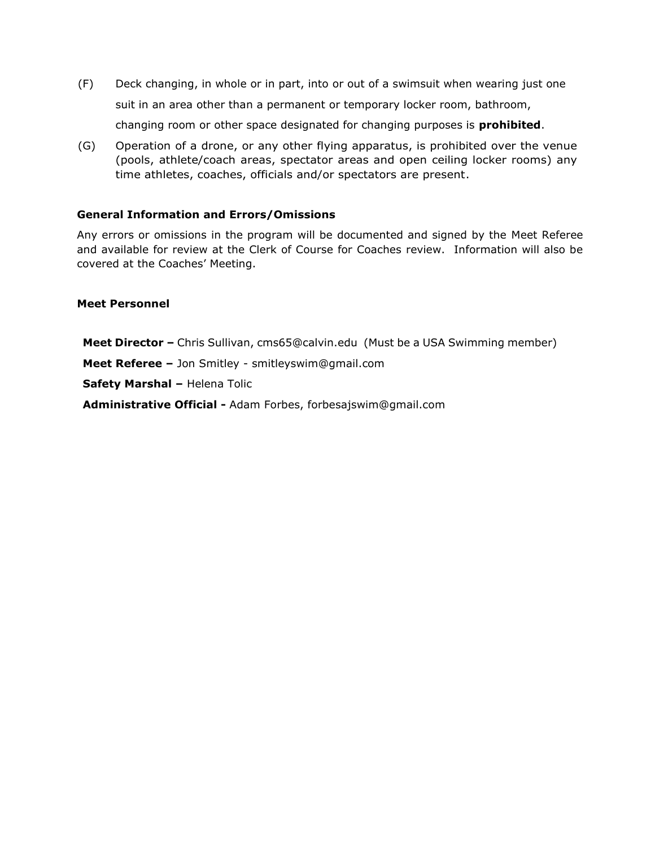- (F) Deck changing, in whole or in part, into or out of a swimsuit when wearing just one suit in an area other than a permanent or temporary locker room, bathroom, changing room or other space designated for changing purposes is **prohibited**.
- (G) Operation of a drone, or any other flying apparatus, is prohibited over the venue (pools, athlete/coach areas, spectator areas and open ceiling locker rooms) any time athletes, coaches, officials and/or spectators are present.

### **General Information and Errors/Omissions**

Any errors or omissions in the program will be documented and signed by the Meet Referee and available for review at the Clerk of Course for Coaches review. Information will also be covered at the Coaches' Meeting.

### **Meet Personnel**

**Meet Director –** Chris Sullivan, cms65@calvin.edu (Must be a USA Swimming member)

**Meet Referee –** Jon Smitley - smitleyswim@gmail.com

**Safety Marshal –** Helena Tolic

**Administrative Official -** Adam Forbes, forbesajswim@gmail.com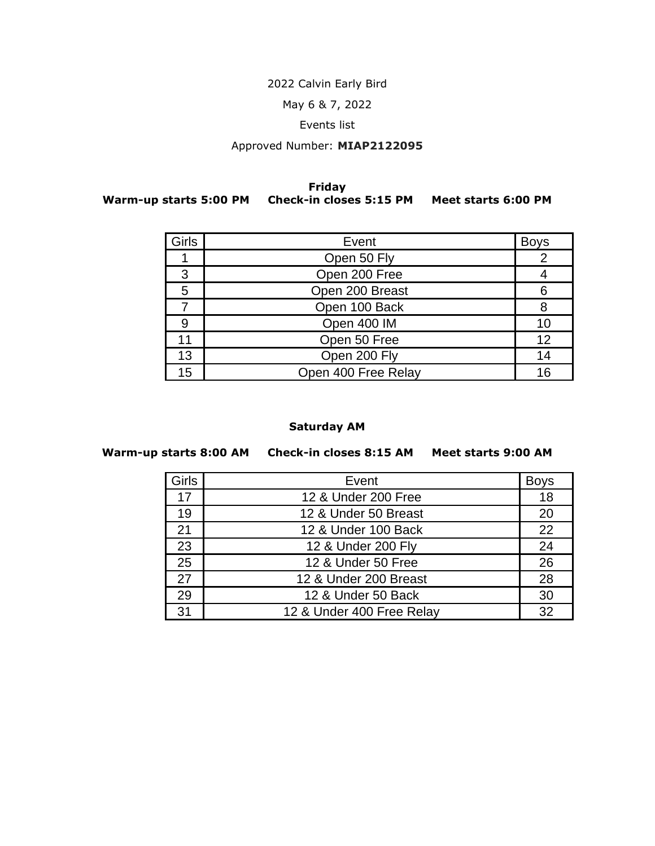# 2022 Calvin Early Bird

May 6 & 7, 2022

## Events list

# Approved Number: **MIAP2122095**

#### **Friday Warm-up starts 5:00 PM Check-in closes 5:15 PM Meet starts 6:00 PM**

| <b>Girls</b> | Event               | <b>Boys</b> |
|--------------|---------------------|-------------|
|              | Open 50 Fly         |             |
| 3            | Open 200 Free       |             |
| 5            | Open 200 Breast     |             |
|              | Open 100 Back       |             |
|              | Open 400 IM         |             |
| 11           | Open 50 Free        | 12          |
| 13           | Open 200 Fly        | 14          |
| 15           | Open 400 Free Relay | 16          |

# **Saturday AM**

### **Warm-up starts 8:00 AM Check-in closes 8:15 AM Meet starts 9:00 AM**

| Girls | Event                     | <b>Boys</b> |
|-------|---------------------------|-------------|
| 17    | 12 & Under 200 Free       | 18          |
| 19    | 12 & Under 50 Breast      | 20          |
| 21    | 12 & Under 100 Back       | 22          |
| 23    | 12 & Under 200 Fly        | 24          |
| 25    | 12 & Under 50 Free        | 26          |
| 27    | 12 & Under 200 Breast     | 28          |
| 29    | 12 & Under 50 Back        | 30          |
| 31    | 12 & Under 400 Free Relay | 32          |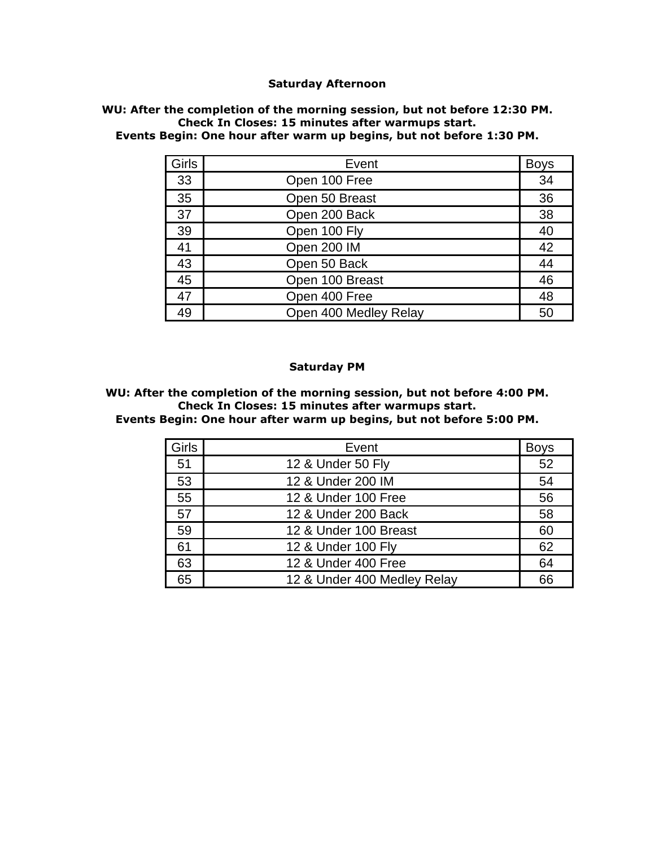### **Saturday Afternoon**

#### **WU: After the completion of the morning session, but not before 12:30 PM. Check In Closes: 15 minutes after warmups start. Events Begin: One hour after warm up begins, but not before 1:30 PM.**

| Girls | Event                 | <b>Boys</b> |
|-------|-----------------------|-------------|
| 33    | Open 100 Free         | 34          |
| 35    | Open 50 Breast        | 36          |
| 37    | Open 200 Back         | 38          |
| 39    | Open 100 Fly          | 40          |
| 41    | Open 200 IM           | 42          |
| 43    | Open 50 Back          | 44          |
| 45    | Open 100 Breast       | 46          |
| 47    | Open 400 Free         | 48          |
| 49    | Open 400 Medley Relay | 50          |

#### **Saturday PM**

**WU: After the completion of the morning session, but not before 4:00 PM. Check In Closes: 15 minutes after warmups start.**

**Events Begin: One hour after warm up begins, but not before 5:00 PM.**

| Girls | Event                       | <b>Boys</b> |
|-------|-----------------------------|-------------|
| 51    | 12 & Under 50 Fly           | 52          |
| 53    | 12 & Under 200 IM           | 54          |
| 55    | 12 & Under 100 Free         | 56          |
| 57    | 12 & Under 200 Back         | 58          |
| 59    | 12 & Under 100 Breast       | 60          |
| 61    | 12 & Under 100 Fly          | 62          |
| 63    | 12 & Under 400 Free         | 64          |
| 65    | 12 & Under 400 Medley Relay | 66          |